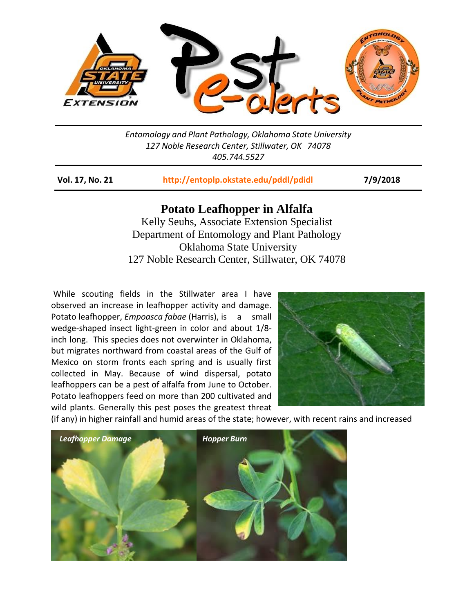

*Entomology and Plant Pathology, Oklahoma State University 127 Noble Research Center, Stillwater, OK 74078 405.744.5527*

**Vol. 17, No. 21 <http://entoplp.okstate.edu/pddl/pdidl> 7/9/2018**

## **Potato Leafhopper in Alfalfa**

Kelly Seuhs, Associate Extension Specialist Department of Entomology and Plant Pathology Oklahoma State University 127 Noble Research Center, Stillwater, OK 74078

While scouting fields in the Stillwater area I have observed an increase in leafhopper activity and damage. Potato leafhopper, *Empoasca fabae* (Harris), is a small wedge-shaped insect light-green in color and about 1/8 inch long. This species does not overwinter in Oklahoma, but migrates northward from coastal areas of the Gulf of Mexico on storm fronts each spring and is usually first collected in May. Because of wind dispersal, potato leafhoppers can be a pest of alfalfa from June to October. Potato leafhoppers feed on more than 200 cultivated and wild plants. Generally this pest poses the greatest threat



(if any) in higher rainfall and humid areas of the state; however, with recent rains and increased